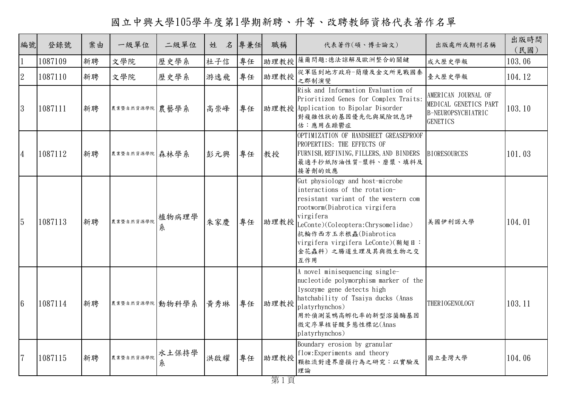國立中興大學105學年度第1學期新聘、升等、改聘教師資格代表著作名單

| 編號              | 登錄號     | 案由 | 一級單位            | 二級單位       | 姓<br>名 | 專兼任 | 職稱   | 代表著作(碩、博士論文)                                                                                                                                                                                                                                                                                  | 出版處所或期刊名稱                                                                             | 出版時間<br>(民國) |
|-----------------|---------|----|-----------------|------------|--------|-----|------|-----------------------------------------------------------------------------------------------------------------------------------------------------------------------------------------------------------------------------------------------------------------------------------------------|---------------------------------------------------------------------------------------|--------------|
| $\vert$ 1       | 1087109 | 新聘 | 文學院             | 歷史學系       | 杜子信    | 專任  |      | 助理教授 薩爾問題:德法諒解及歐洲整合的關鍵                                                                                                                                                                                                                                                                        | 成大歷史學報                                                                                | 103.06       |
| $\overline{2}$  | 1087110 | 新聘 | 文學院             | 歷史學系       | 游逸飛    | 專任  | 助理教授 | 從軍區到地方政府-簡牘及金文所見戰國秦<br>之郡制演變                                                                                                                                                                                                                                                                  | 臺大歷史學報                                                                                | 104.12       |
| 3               | 1087111 | 新聘 | 農業暨自然資源學院 農藝學系  |            | 高崇峰    | 專任  |      | Risk and Information Evaluation of<br>Prioritized Genes for Complex Traits:<br>助理教授 Application to Bipolar Disorder<br>對複雜性狀的基因優先化與風險訊息評<br>估:應用在躁鬱症                                                                                                                                          | AMERICAN JOURNAL OF<br>MEDICAL GENETICS PART<br>B-NEUROPSYCHIATRIC<br><b>GENETICS</b> | 103.10       |
| $\overline{4}$  | 1087112 | 新聘 | 農業暨自然資源學院 森林學系  |            | 彭元興    | 專任  | 教授   | OPTIMIZATION OF HANDSHEET GREASEPROOF<br>PROPERTIES: THE EFFECTS OF<br>FURNISH, REFINING, FILLERS, AND BINDERS<br>最適手抄紙防油性質-漿料、磨漿、填料及<br>接著劑的效應                                                                                                                                               | <b>BIORESOURCES</b>                                                                   | 101.03       |
| $\overline{5}$  | 1087113 | 新聘 | 農業暨自然資源學院       | 植物病理學<br>糸 | 朱家慶    | 專任  |      | Gut physiology and host-microbe<br>interactions of the rotation-<br>resistant variant of the western com<br>rootworm(Diabrotica virgifera<br>virgifera<br> 助理教授  LeConte)(Coleoptera:Chrysomelidae)<br>抗輪作西方玉米根蟲(Diabrotica<br>virgifera virgifera LeConte)(鞘翅目:<br>金花蟲科)之腸道生理及其與微生物之交<br>互作用 | 美國伊利諾大學                                                                               | 104.01       |
| $6\phantom{.}6$ | 1087114 | 新聘 | 農業暨自然資源學院 動物科學系 |            | 黃秀琳    | 專任  | 助理教授 | A novel minisequencing single-<br>nucleotide polymorphism marker of the<br>lysozyme gene detects high<br>hatchability of Tsaiya ducks (Anas<br>platyrhynchos)<br>用於偵測菜鴨高孵化率的新型溶菌酶基因<br>微定序單核苷酸多態性標記(Anas<br>platyrhynchos)                                                                    | THER I OGENOLOGY                                                                      | 103.11       |
| $\overline{7}$  | 1087115 | 新聘 | 農業暨自然資源學院       | 水土保持學<br>糸 | 洪啟耀    | 專任  | 助理教授 | Boundary erosion by granular<br>flow: Experiments and theory<br>顆粒流對邊界磨損行為之研究:以實驗及<br>理論                                                                                                                                                                                                      | 國立臺灣大學                                                                                | 104.06       |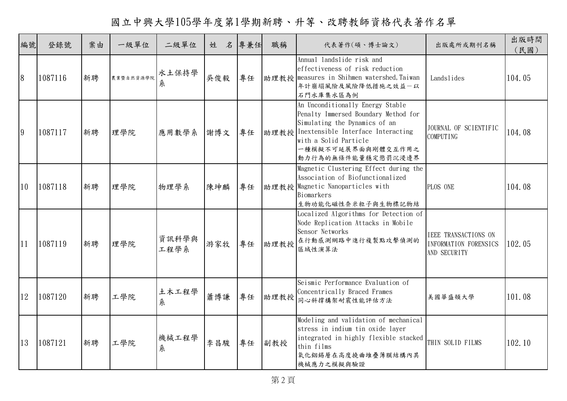國立中興大學105學年度第1學期新聘、升等、改聘教師資格代表著作名單

| 編號 | 登錄號     | 案由 | 一級單位      | 二級單位          | 名<br>姓 | 專兼任 | 職稱   | 代表著作(碩、博士論文)                                                                                                                                                                                                                | 出版處所或期刊名稱                                                            | 出版時間<br>(民國) |
|----|---------|----|-----------|---------------|--------|-----|------|-----------------------------------------------------------------------------------------------------------------------------------------------------------------------------------------------------------------------------|----------------------------------------------------------------------|--------------|
| 8  | 1087116 | 新聘 | 農業暨自然資源學院 | 水土保持學<br>糸    | 吳俊毅    | 專任  |      | Annual landslide risk and<br>effectiveness of risk reduction<br>助理教授 measures in Shihmen watershed, Taiwan<br>年計崩塌風險及風險降低措施之效益一以<br>石門水庫集水區為例                                                                               | Landslides                                                           | 104.05       |
| 9  | 1087117 | 新聘 | 理學院       | 應用數學系         | 謝博文    | 專任  |      | An Unconditionally Energy Stable<br>Penalty Immersed Boundary Method for<br>Simulating the Dynamics of an<br> 助理教授  Inextensible Interface Interacting<br>with a Solid Particle<br>一種模擬不可延展界面與剛體交互作用之<br>動力行為的無條件能量穩定懲罰沉浸邊界 | JOURNAL OF SCIENTIFIC<br>COMPUTING                                   | 104.08       |
| 10 | 1087118 | 新聘 | 理學院       | 物理學系          | 陳坤麟    | 專任  |      | Magnetic Clustering Effect during the<br>Association of Biofunctionalized<br>助理教授 Magnetic Nanoparticles with<br>Biomarkers<br>生物功能化磁性奈米粒子與生物標記物結                                                                           | PLOS ONE                                                             | 104.08       |
| 11 | 1087119 | 新聘 | 理學院       | 資訊科學與<br>工程學系 | 游家牧    | 專任  | 助理教授 | Localized Algorithms for Detection of<br>Node Replication Attacks in Mobile<br>Sensor Networks<br>在行動感測網路中進行複製點攻擊偵測的<br>區域性演算法                                                                                              | <b>IEEE TRANSACTIONS ON</b><br>INFORMATION FORENSICS<br>AND SECURITY | 102.05       |
| 12 | 1087120 | 新聘 | 工學院       | 土木工程學<br>糸    | 蕭博謙    | 專任  | 助理教授 | Seismic Performance Evaluation of<br>Concentrically Braced Frames<br>同心斜撑構架耐震性能評估方法                                                                                                                                         | 美國華盛頓大學                                                              | 101.08       |
| 13 | 1087121 | 新聘 | 工學院       | 機械工程學<br>糸    | 李昌駿    | 專任  | 副教授  | Modeling and validation of mechanical<br>stress in indium tin oxide layer<br>integrated in highly flexible stacked<br>thin films<br>氧化銦錫層在高度撓曲堆疊薄膜結構內其<br>機械應力之模擬與驗證                                                        | THIN SOLID FILMS                                                     | 102.10       |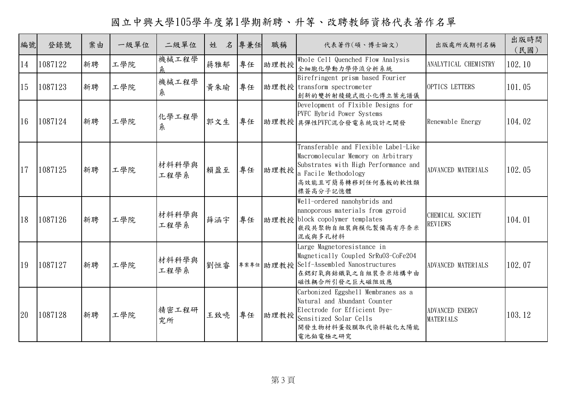國立中興大學105學年度第1學期新聘、升等、改聘教師資格代表著作名單

| 編號 | 登錄號     | 案由 | 一級單位 | 二級單位          | 姓   | 名 專兼任 | 職稱   | 代表著作(碩、博士論文)                                                                                                                                                                 | 出版處所或期刊名稱                           | 出版時間<br>(民國) |
|----|---------|----|------|---------------|-----|-------|------|------------------------------------------------------------------------------------------------------------------------------------------------------------------------------|-------------------------------------|--------------|
| 14 | 1087122 | 新聘 | 工學院  | 機械工程學<br>条    | 蔣雅郁 | 專任    | 助理教授 | Whole Cell Quenched Flow Analysis<br>全細胞化學動力學停流分析系統                                                                                                                          | ANALYTICAL CHEMISTRY                | 102.10       |
| 15 | 1087123 | 新聘 | 工學院  | 機械工程學<br>糸    | 黄朱瑜 | 專任    |      | Birefringent prism based Fourier<br>助理教授 transform spectrometer<br>創新的雙折射稜鏡式微小化傅立葉光譜儀                                                                                        | OPTICS LETTERS                      | 101.05       |
| 16 | 1087124 | 新聘 | 工學院  | 化學工程學<br>糸    | 郭文生 | 專任    |      | Development of Flxible Designs for<br>PVFC Hybrid Power Systems<br>助理教授具彈性PVFC混合發電系統設計之開發                                                                                    | Renewable Energy                    | 104.02       |
| 17 | 1087125 | 新聘 | 工學院  | 材料科學與<br>工程學系 | 賴盈至 | 專任    | 助理教授 | Transferable and Flexible Label-Like<br>Macromolecular Memory on Arbitrary<br>Substrates with High Performance and<br>a Facile Methodology<br>高效能且可簡易轉移到任何基板的軟性類<br>標簽高分子記憶體 | ADVANCED MATERIALS                  | 102.05       |
| 18 | 1087126 | 新聘 | 工學院  | 材料科學與<br>工程學系 | 薛涵宇 | 專任    |      | Well-ordered nanohybrids and<br>nanoporous materials from gyroid<br>助理教授 block copolymer templates<br>嵌段共聚物自組裝與模化製備高有序奈米<br>混成與多孔材料                                          | CHEMICAL SOCIETY<br><b>REVIEWS</b>  | 104.01       |
| 19 | 1087127 | 新聘 | 工學院  | 材料科學與<br>工程學系 | 劉恒睿 |       |      | Large Magnetoresistance in<br>Magnetically Coupled SrRu03-CoFe204<br> 專案專任 助理教授 Self-Assembled Nanostructures<br>在鍶釕氧與鈷鐵氧之自組裝奈米結構中由<br>磁性耦合所引發之巨大磁阻效應                        | ADVANCED MATERIALS                  | 102.07       |
| 20 | 1087128 | 新聘 | 工學院  | 精密工程研<br>究所   | 王致喨 | 專任    | 助理教授 | Carbonized Eggshell Membranes as a<br>Natural and Abundant Counter<br>Electrode for Efficient Dye-<br>Sensitized Solar Cells<br>開發生物材料蛋殼膜取代染料敏化太陽能<br>電池鉑電極之研究               | ADVANCED ENERGY<br><b>MATERIALS</b> | 103.12       |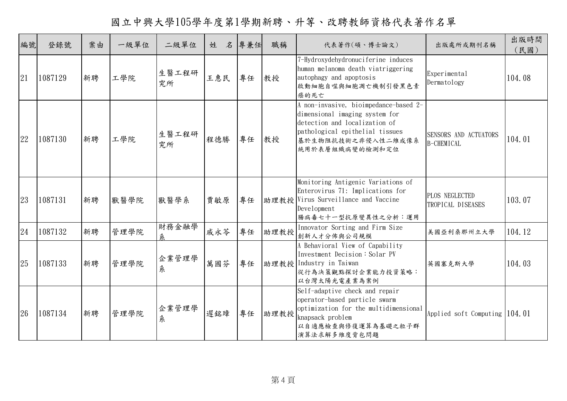國立中興大學105學年度第1學期新聘、升等、改聘教師資格代表著作名單

| 編號 | 登錄號     | 案由 | 一級單位 | 二級單位        | 名<br>姓 | 專兼任 | 職稱   | 代表著作(碩、博士論文)                                                                                                                                                                         | 出版處所或期刊名稱                           | 出版時間<br>(民國) |
|----|---------|----|------|-------------|--------|-----|------|--------------------------------------------------------------------------------------------------------------------------------------------------------------------------------------|-------------------------------------|--------------|
| 21 | 1087129 | 新聘 | 工學院  | 生醫工程研<br>究所 | 王惠民    | 專任  | 教授   | 7-Hydroxydehydronuciferine induces<br>human melanoma death viatriggering<br>autophagy and apoptosis<br>啟動細胞自噬與細胞凋亡機制引發黑色素<br>癌的死亡                                                    | Experimental<br>Dermatology         | 104.08       |
| 22 | 1087130 | 新聘 | 工學院  | 生醫工程研<br>究所 | 程德勝    | 專任  | 教授   | A non-invasive, bioimpedance-based 2-<br>dimensional imaging system for<br>detection and localization of<br>pathological epithelial tissues<br>基於生物阻抗技術之非侵入性二維成像系<br>統用於表層組織病變的檢測和定位 | SENSORS AND ACTUATORS<br>B-CHEMICAL | 104.01       |
| 23 | 1087131 | 新聘 | 獸醫學院 | 獸醫學系        | 賈敏原    | 專任  |      | Monitoring Antigenic Variations of<br>Enterovirus 71: Implications for<br> 助理教授 Virus Surveillance and Vaccine<br>Development<br>腸病毒七十一型抗原變異性之分析:運用                                  | PLOS NEGLECTED<br>TROPICAL DISEASES | 103.07       |
| 24 | 1087132 | 新聘 | 管理學院 | 財務金融學<br>糸  | 戚永苓    | 專任  | 助理教授 | Innovator Sorting and Firm Size<br>創新人才分佈與公司規模                                                                                                                                       | 美國亞利桑那州立大學                          | 104.12       |
| 25 | 1087133 | 新聘 | 管理學院 | 企業管理學<br>糸  | 萬國芬    | 專任  |      | A Behavioral View of Capability<br>Investment Decision: Solar PV<br>助理教授 Industry in Taiwan<br>從行為決策觀點探討企業能力投資策略:<br>以台灣太陽光電產業為案例                                                    | 英國塞克斯大學                             | 104.03       |
| 26 | 1087134 | 新聘 | 管理學院 | 企業管理學<br>糸  | 遲銘璋    | 專任  | 助理教授 | Self-adaptive check and repair<br>operator-based particle swarm<br>optimization for the multidimensional<br>knapsack problem<br>以自適應檢查與修復運算為基礎之粒子群<br>演算法求解多維度背包問題                   | Applied soft Computing $104.01$     |              |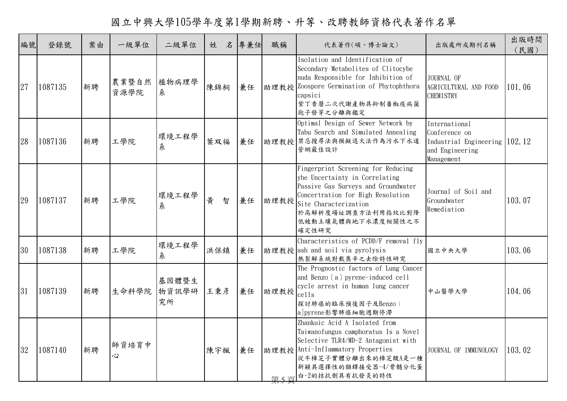國立中興大學105學年度第1學期新聘、升等、改聘教師資格代表著作名單

| 編號 | 登錄號     | 案由 | 一級單位          | 二級單位                 | 姓      | 名 專兼任 | 職稱   | 代表著作(碩、博士論文)                                                                                                                                                                                                                   | 出版處所或期刊名稱                                                                                        | 出版時間<br>(民國) |
|----|---------|----|---------------|----------------------|--------|-------|------|--------------------------------------------------------------------------------------------------------------------------------------------------------------------------------------------------------------------------------|--------------------------------------------------------------------------------------------------|--------------|
| 27 | 1087135 | 新聘 | 農業暨自然<br>資源學院 | 植物病理學<br>糸           | 陳錦桐    | 兼任    |      | Isolation and Identification of<br>Secondary Metabolites of Clitocybe<br>nuda Responsible for Inhibition of<br> 助理教授 Zoospore Germination of Phytophthora<br>capsici<br>紫丁香蘑二次代謝產物具抑制番椒疫病菌<br>孢子發芽之分離與鑑定                       | JOURNAL OF<br>AGRICULTURAL AND FOOD<br><b>CHEMISTRY</b>                                          | 101.06       |
| 28 | 1087136 | 新聘 | 工學院           | 環境工程學<br>糸           | 葉双福    | 兼任    |      | Optimal Design of Sewer Network by<br>Tabu Search and Simulated Annealing<br>助理教授禁忌搜尋法與模擬退火法作為污水下水道<br>管網最佳設計                                                                                                                  | International<br>Conference on<br>Industrial Engineering 102.12<br>and Engineering<br>Management |              |
| 29 | 1087137 | 新聘 | 工學院           | 環境工程學<br>糸           | 黄<br>智 | 兼任    | 助理教授 | Fingerprint Screening for Reducing<br>yhe Uncertainty in Correlating<br>Passive Gas Surveys and Groundwater<br>Concertration for High Resolution<br>Site Characterization<br>於高解析度場址調查方法利用指紋比對降<br>低被動土壤氣體與地下水濃度相關性之不<br>確定性研究 | Journal of Soil and<br>Groundwater<br>Remediation                                                | 103.07       |
| 30 | 1087138 | 新聘 | 工學院           | 環境工程學<br>糸           | 洪保鎮    | 兼任    |      | Characteristics of PCDD/F removal fly<br>助理教授 ash and soil via pyrolysis<br>熱裂解系統對戴奧辛之去除特性研究                                                                                                                                   | 國立中央大學                                                                                           | 103.06       |
| 31 | 1087139 | 新聘 | 生命科學院         | 基因體暨生<br>物資訊學研<br>究所 | 王秉彦    | 兼任    | 助理教授 | The Prognostic factors of Lung Cancer<br>and Benzo (a) pyrene-induced cell<br>cycle arrest in human lung cancer<br>cells<br>探討肺癌的臨床預後因子及Benzo〔<br>a]pyrene影響肺癌細胞週期停滯                                                           | 中山醫學大學                                                                                           | 104.06       |
| 32 | 1087140 | 新聘 | 師資培育中<br>Š,   |                      | 陳宇楓    | 兼任    | 第5百  | Zhankuic Acid A Isolated from<br>Taiwanofungus camphoratus Is a Novel<br>Selective TLR4/MD-2 Antagonist with<br>助理教授 Anti-Inflammatory Properties<br>從牛樟芝子實體分離出來的樟芝酸A是一種<br>新穎具選擇性的類鐸接受器-4/骨髓分化蛋<br>白-2的拮抗劑具有抗發炎的特性            | JOURNAL OF IMMUNOLOGY                                                                            | 103.02       |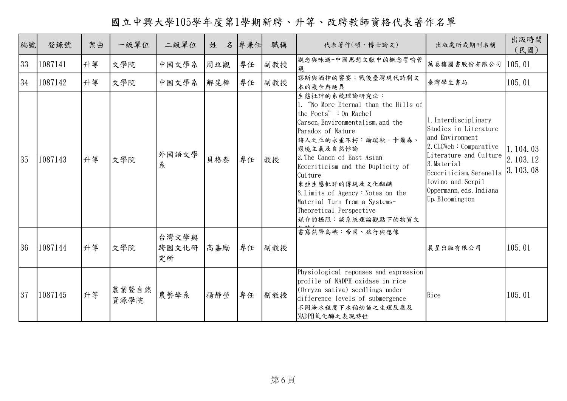國立中興大學105學年度第1學期新聘、升等、改聘教師資格代表著作名單

| 編號 | 登錄號     | 案由 | 一級單位          | 二級單位                 | 名<br>姓 | 專兼任 | 職稱  | 代表著作(碩、博士論文)                                                                                                                                                                                                                                                                                                                                                                                         | 出版處所或期刊名稱                                                                                                                                                                                                                         | 出版時間<br>(民國)                     |
|----|---------|----|---------------|----------------------|--------|-----|-----|------------------------------------------------------------------------------------------------------------------------------------------------------------------------------------------------------------------------------------------------------------------------------------------------------------------------------------------------------------------------------------------------------|-----------------------------------------------------------------------------------------------------------------------------------------------------------------------------------------------------------------------------------|----------------------------------|
| 33 | 1087141 | 升等 | 文學院           | 中國文學系                | 周玟觀    | 專任  | 副教授 | 觀念與味道-中國思想文獻中的概念譬喻管<br>窺                                                                                                                                                                                                                                                                                                                                                                             | 萬卷樓圖書股份有限公司                                                                                                                                                                                                                       | 105.01                           |
| 34 | 1087142 | 升等 | 文學院           | 中國文學系                | 解昆樺    | 專任  | 副教授 | 謬斯與酒神的饗宴:戰後臺灣現代詩劇文<br>本的複合與延異                                                                                                                                                                                                                                                                                                                                                                        | 臺灣學生書局                                                                                                                                                                                                                            | 105.01                           |
| 35 | 1087143 | 升等 | 文學院           | 外國語文學<br>糸           | 貝格泰    | 專任  | 教授  | 生態批評的系統理論研究法:<br>1. "No More Eternal than the Hills of<br>the Poets" : On Rachel<br>Carson, Environmentalism, and the<br>Paradox of Nature<br>持人之丘的永垂不朽:論瑞秋·卡爾森、<br>環境主義及自然悖論<br>2. The Canon of East Asian<br>Ecocriticism and the Duplicity of<br>Culture<br>東亞生態批評的傳統及文化齟齬<br>3. Limits of Agency: Notes on the<br>Material Turn from a Systems-<br>Theoretical Perspective<br>媒介的極限:談系統理論觀點下的物質文 | 1. Interdisciplinary<br>Studies in Literature<br>and Environment<br>2. CLCWeb: Comparative<br>Literature and Culture<br>3. Material<br>Ecocriticism, Serenella<br>Iovino and Serpil<br>Oppermann, eds. Indiana<br>Up, Bloomington | 1.104.03<br>2.103.12<br>3.103.08 |
| 36 | 1087144 | 升等 | 文學院           | 台灣文學與<br>跨國文化研<br>究所 | 高嘉勵    | 專任  | 副教授 | 書寫熱帶島嶼:帝國、旅行與想像                                                                                                                                                                                                                                                                                                                                                                                      | 晨星出版有限公司                                                                                                                                                                                                                          | 105.01                           |
| 37 | 1087145 | 升等 | 農業暨自然<br>資源學院 | 農藝學系                 | 楊靜瑩    | 專任  | 副教授 | Physiological reponses and expression<br>profile of NADPH oxidase in rice<br>(Orryza sativa) seedlings under<br>difference levels of submergence<br>不同淹水程度下水稻幼苗之生理反應及<br>NADPH氧化酶之表現特性                                                                                                                                                                                                               | Rice                                                                                                                                                                                                                              | 105.01                           |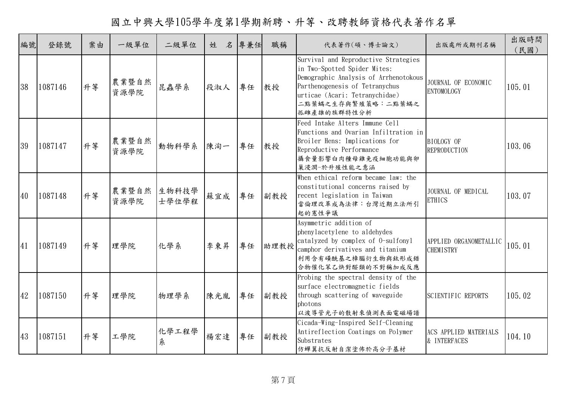國立中興大學105學年度第1學期新聘、升等、改聘教師資格代表著作名單

| 編號 | 登錄號     | 案由 | 一級單位          | 二級單位           | 名<br>姓 | 專兼任 | 職稱   | 代表著作(碩、博士論文)                                                                                                                                                                                                           | 出版處所或期刊名稱                                    | 出版時間<br>(民國) |
|----|---------|----|---------------|----------------|--------|-----|------|------------------------------------------------------------------------------------------------------------------------------------------------------------------------------------------------------------------------|----------------------------------------------|--------------|
| 38 | 1087146 | 升等 | 農業暨自然<br>資源學院 | 昆蟲學系           | 段淑人    | 專任  | 教授   | Survival and Reproductive Strategies<br>in Two-Spotted Spider Mites:<br>Demographic Analysis of Arrhenotokous<br>Parthenogenesis of Tetranychus<br>urticae (Acari: Tetranychidae)<br>二點葉蟎之生存與繁殖策略:二點葉蟎之<br>孤雌產雄的族群特性分析 | JOURNAL OF ECONOMIC<br>ENTOMOLOGY            | 105.01       |
| 39 | 1087147 | 升等 | 農業暨自然<br>資源學院 | 動物科學系          | 陳洵一    | 專任  | 教授   | Feed Intake Alters Immune Cell<br>Functions and Ovarian Infiltration in<br>Broiler Hens: Implications for<br>Reproductive Performance<br>攝食量影響白肉種母雞免疫細胞功能與卵<br>巢浸潤-於升殖性能之意涵                                            | <b>BIOLOGY OF</b><br><b>REPRODUCTION</b>     | 103.06       |
| 40 | 1087148 | 升等 | 農業暨自然<br>資源學院 | 生物科技學<br>士學位學程 | 蘇宜成    | 專任  | 副教授  | When ethical reform became law: the<br>constitutional concerns raised by<br>recent legislation in Taiwan<br>當倫理改革成為法律:台灣近期立法所引<br>起的憲性爭議                                                                               | JOURNAL OF MEDICAL<br><b>ETHICS</b>          | 103.07       |
| 41 | 1087149 | 升等 | 理學院           | 化學系            | 李東昇    | 專任  | 助理教授 | Asymmetric addition of<br>phenylacetylene to aldehydes<br>catalyzed by complex of 0-sulfonyl<br>camphor derivatives and titanium<br>利用含有磺酰基之樟腦衍生物與鈦形成錯<br>合物催化苯乙炔對醛類的不對稱加成反應                                           | APPLIED ORGANOMETALLIC<br><b>CHEMISTRY</b>   | 105.01       |
| 42 | 1087150 | 升等 | 理學院           | 物理學系           | 陳光胤    | 專任  | 副教授  | Probing the spectral density of the<br>surface electromagnetic fields<br>through scattering of waveguide<br>photons<br>以波導管光子的散射來偵測表面電磁場譜                                                                              | SCIENTIFIC REPORTS                           | 105.02       |
| 43 | 1087151 | 升等 | 工學院           | 化學工程學<br>糸     | 楊宏達    | 專任  | 副教授  | Cicada-Wing-Inspired Self-Cleaning<br>Antireflection Coatings on Polymer<br>Substrates<br>仿蟬翼抗反射自潔塗佈於高分子基材                                                                                                             | <b>ACS APPLIED MATERIALS</b><br>& INTERFACES | 104.10       |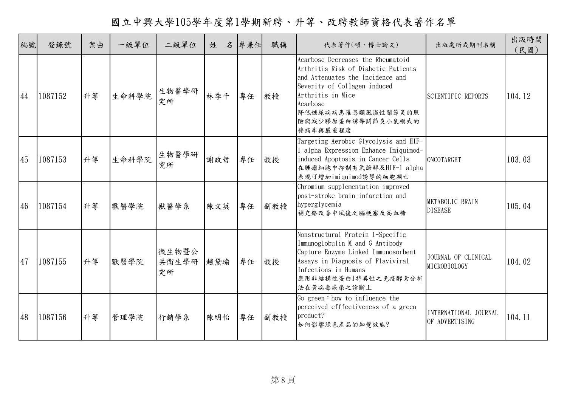國立中興大學105學年度第1學期新聘、升等、改聘教師資格代表著作名單

| 編號 | 登錄號     | 案由 | 一級單位  | 二級單位                 | 名<br>姓 | 專兼任 | 職稱  | 代表著作(碩、博士論文)                                                                                                                                                                                                                          | 出版處所或期刊名稱                               | 出版時間<br>(民國) |
|----|---------|----|-------|----------------------|--------|-----|-----|---------------------------------------------------------------------------------------------------------------------------------------------------------------------------------------------------------------------------------------|-----------------------------------------|--------------|
| 44 | 1087152 | 升等 | 生命科學院 | 生物醫學研<br>究所          | 林季千    | 專任  | 教授  | Acarbose Decreases the Rheumatoid<br>Arthritis Risk of Diabetic Patients<br>and Attenuates the Incidence and<br>Severity of Collagen-induced<br>Arthritis in Mice<br>Acarbose<br>降低糖尿病病患罹患類風濕性關節炎的風<br>險與減少膠原蛋白誘導關節炎小鼠模式的<br>發病率與嚴重程度 | <b>SCIENTIFIC REPORTS</b>               | 104.12       |
| 45 | 1087153 | 升等 | 生命科學院 | 生物醫學研<br>究所          | 謝政哲    | 專任  | 教授  | Targeting Aerobic Glycolysis and HIF-<br>l alpha Expression Enhance Imiquimod-<br>induced Apoptosis in Cancer Cells<br>在腫瘤細胞中抑制有氧醣解及HIF-1 alpha<br>表現可增加imiquimod誘導的細胞凋亡                                                              | ONCOTARGET                              | 103.03       |
| 46 | 1087154 | 升等 | 獸醫學院  | 獸醫學系                 | 陳文英    | 專任  | 副教授 | Chromium supplementation improved<br>post-stroke brain infarction and<br>hyperglycemia<br>補充絡改善中風後之腦梗塞及高血糖                                                                                                                            | METABOLIC BRAIN<br><b>DISEASE</b>       | 105.04       |
| 47 | 1087155 | 升等 | 獸醫學院  | 微生物暨公<br>共衛生學研<br>究所 | 趙黛瑜    | 專任  | 教授  | Nonstructural Protein 1-Specific<br>Immunoglobulin M and G Antibody<br>Capture Enzyme-Linked Immunosorbent<br>Assays in Diagnosis of Flaviviral<br>Infections in Humans<br>應用非結構性蛋白1特異性之免疫酵素分析<br>法在黄病毒感染之診斷上                         | JOURNAL OF CLINICAL<br>MICROBIOLOGY     | 104.02       |
| 48 | 1087156 | 升等 | 管理學院  | 行銷學系                 | 陳明怡    | 專任  | 副教授 | Go green: how to influence the<br>perceived efffectiveness of a green<br>product?<br>如何影響綠色產品的知覺效能?                                                                                                                                   | INTERNATIONAL JOURNAL<br>OF ADVERTISING | 104.11       |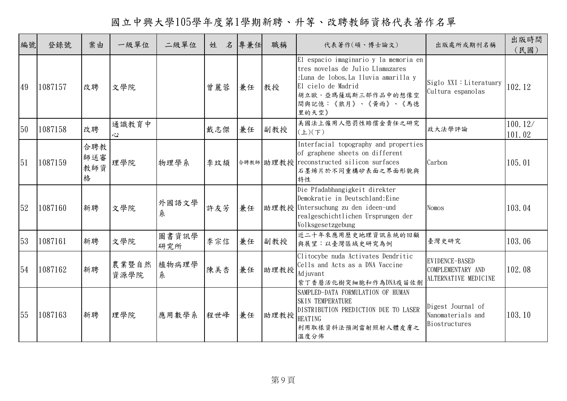國立中興大學105學年度第1學期新聘、升等、改聘教師資格代表著作名單

| 編號 | 登錄號     | 案由                     | 一級單位          | 二級單位         | 姓   | 名 | 專兼任 | 職稱   | 代表著作(碩、博士論文)                                                                                                                                                                                 | 出版處所或期刊名稱                                                   | 出版時間<br>(民國)      |
|----|---------|------------------------|---------------|--------------|-----|---|-----|------|----------------------------------------------------------------------------------------------------------------------------------------------------------------------------------------------|-------------------------------------------------------------|-------------------|
| 49 | 1087157 | 改聘                     | 文學院           |              | 曾麗蓉 |   | 兼任  | 教授   | El espacio imaginario y la memoria en<br>tres novelas de Julio Llamazares<br>:Luna de lobos, La lluvia amarilla y<br>El cielo de Madrid<br>胡立歐·亞瑪薩瑞斯三部作品中的想像空<br>間與記憶:《狼月》、《黃雨》、《馬德<br>里的天空》 | $Siglo$ XXI : Literatuary<br>Cultura espanolas              | 102.12            |
| 50 | 1087158 | 改聘                     | 通識教育中<br>心    |              | 戴志傑 |   | 兼任  | 副教授  | 美國法上僱用人懲罰性賠償金責任之研究<br>$(\pm)(\mp)$                                                                                                                                                           | 政大法學評論                                                      | 100.12/<br>101.02 |
| 51 | 1087159 | 合聘教<br>師送審<br>教師資<br>格 | 理學院           | 物理學系         | 李玟頡 |   |     |      | Interfacial topography and properties<br>of graphene sheets on different<br>合聘教師 助理教授 reconstructed silicon surfaces<br>石墨烯片於不同重構矽表面之界面形貌與<br>特性                                             | Carbon                                                      | 105.01            |
| 52 | 1087160 | 新聘                     | 文學院           | 外國語文學<br>糸   | 許友芳 |   | 兼任  |      | Die Pfadabhangigkeit direkter<br>Demokratie in Deutschland: Eine<br>助理教授 Untersuchung zu den ideen-und<br>realgeschichtlichen Ursprungen der<br>Volksgesetzgebung                            | <b>Nomos</b>                                                | 103.04            |
| 53 | 1087161 | 新聘                     | 文學院           | 圖書資訊學<br>研究所 | 李宗信 |   | 兼任  | 副教授  | 近二十年來應用歷史地理資訊系統的回顧<br>與展望:以臺灣區域史研究為例                                                                                                                                                         | 臺灣史研究                                                       | 103.06            |
| 54 | 1087162 | 新聘                     | 農業暨自然<br>資源學院 | 植物病理學<br>糸   | 陳美杏 |   | 兼任  | 助理教授 | Clitocybe nuda Activates Dendritic<br>Cells and Acts as a DNA Vaccine<br>Ad juvant<br>紫丁香蘑活化樹突細胞和作為DNA疫苗佐劑                                                                                   | EVIDENCE-BASED<br>COMPLEMENTARY AND<br>ALTERNATIVE MEDICINE | 102.08            |
| 55 | 1087163 | 新聘                     | 理學院           | 應用數學系        | 程世峰 |   | 兼任  | 助理教授 | SAMPLED-DATA FORMULATION OF HUMAN<br>SKIN TEMPERATURE<br>DISTRIBUTION PREDICTION DUE TO LASER<br><b>HEATING</b><br>利用取樣資料法預測雷射照射人體皮膚之<br>溫度分佈                                                | Digest Journal of<br>Nanomaterials and<br>Biostructures     | 103.10            |